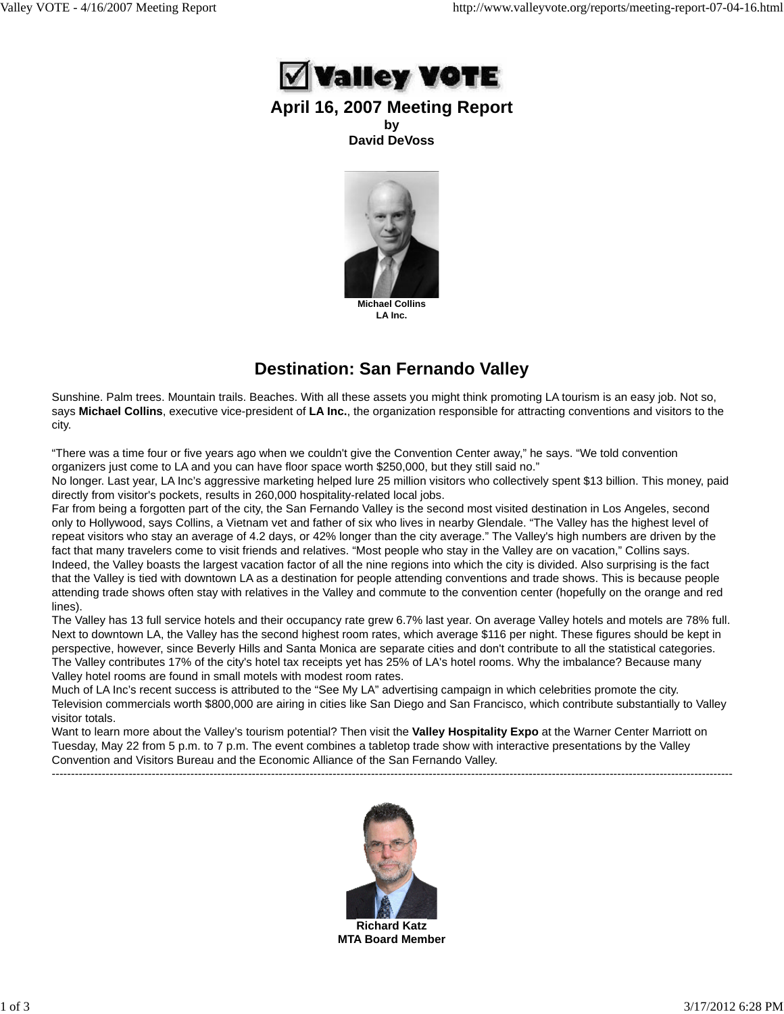

### **April 16, 2007 Meeting Report by**

**David DeVoss**



**LA Inc.**

# **Destination: San Fernando Valley**

Sunshine. Palm trees. Mountain trails. Beaches. With all these assets you might think promoting LA tourism is an easy job. Not so, says **Michael Collins**, executive vice-president of **LA Inc.**, the organization responsible for attracting conventions and visitors to the city.

"There was a time four or five years ago when we couldn't give the Convention Center away," he says. "We told convention organizers just come to LA and you can have floor space worth \$250,000, but they still said no."

No longer. Last year, LA Inc's aggressive marketing helped lure 25 million visitors who collectively spent \$13 billion. This money, paid directly from visitor's pockets, results in 260,000 hospitality-related local jobs.

Far from being a forgotten part of the city, the San Fernando Valley is the second most visited destination in Los Angeles, second only to Hollywood, says Collins, a Vietnam vet and father of six who lives in nearby Glendale. "The Valley has the highest level of repeat visitors who stay an average of 4.2 days, or 42% longer than the city average." The Valley's high numbers are driven by the fact that many travelers come to visit friends and relatives. "Most people who stay in the Valley are on vacation," Collins says. Indeed, the Valley boasts the largest vacation factor of all the nine regions into which the city is divided. Also surprising is the fact that the Valley is tied with downtown LA as a destination for people attending conventions and trade shows. This is because people attending trade shows often stay with relatives in the Valley and commute to the convention center (hopefully on the orange and red lines).

The Valley has 13 full service hotels and their occupancy rate grew 6.7% last year. On average Valley hotels and motels are 78% full. Next to downtown LA, the Valley has the second highest room rates, which average \$116 per night. These figures should be kept in perspective, however, since Beverly Hills and Santa Monica are separate cities and don't contribute to all the statistical categories. The Valley contributes 17% of the city's hotel tax receipts yet has 25% of LA's hotel rooms. Why the imbalance? Because many Valley hotel rooms are found in small motels with modest room rates.

Much of LA Inc's recent success is attributed to the "See My LA" advertising campaign in which celebrities promote the city. Television commercials worth \$800,000 are airing in cities like San Diego and San Francisco, which contribute substantially to Valley visitor totals.

Want to learn more about the Valley's tourism potential? Then visit the **Valley Hospitality Expo** at the Warner Center Marriott on Tuesday, May 22 from 5 p.m. to 7 p.m. The event combines a tabletop trade show with interactive presentations by the Valley Convention and Visitors Bureau and the Economic Alliance of the San Fernando Valley.

---------------------------------------------------------------------------------------------------------------------------------------------------------------------------------



**MTA Board Member**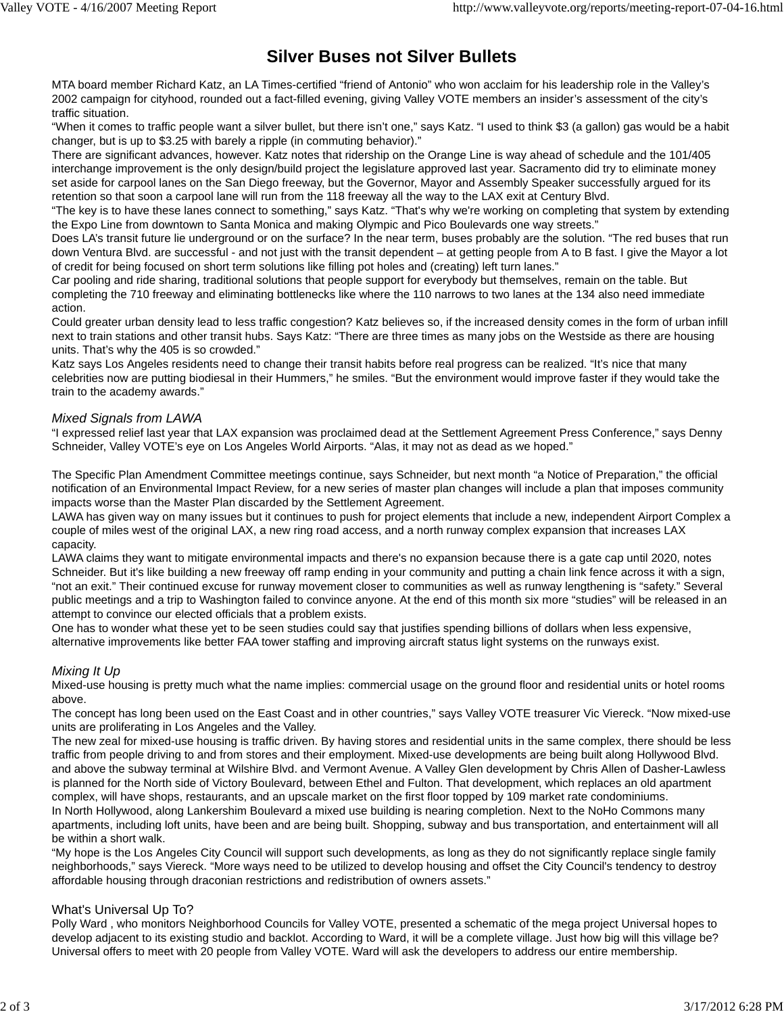## **Silver Buses not Silver Bullets**

MTA board member Richard Katz, an LA Times-certified "friend of Antonio" who won acclaim for his leadership role in the Valley's 2002 campaign for cityhood, rounded out a fact-filled evening, giving Valley VOTE members an insider's assessment of the city's traffic situation.

"When it comes to traffic people want a silver bullet, but there isn't one," says Katz. "I used to think \$3 (a gallon) gas would be a habit changer, but is up to \$3.25 with barely a ripple (in commuting behavior)."

There are significant advances, however. Katz notes that ridership on the Orange Line is way ahead of schedule and the 101/405 interchange improvement is the only design/build project the legislature approved last year. Sacramento did try to eliminate money set aside for carpool lanes on the San Diego freeway, but the Governor, Mayor and Assembly Speaker successfully argued for its retention so that soon a carpool lane will run from the 118 freeway all the way to the LAX exit at Century Blvd.

"The key is to have these lanes connect to something," says Katz. "That's why we're working on completing that system by extending the Expo Line from downtown to Santa Monica and making Olympic and Pico Boulevards one way streets."

Does LA's transit future lie underground or on the surface? In the near term, buses probably are the solution. "The red buses that run down Ventura Blvd. are successful - and not just with the transit dependent – at getting people from A to B fast. I give the Mayor a lot of credit for being focused on short term solutions like filling pot holes and (creating) left turn lanes."

Car pooling and ride sharing, traditional solutions that people support for everybody but themselves, remain on the table. But completing the 710 freeway and eliminating bottlenecks like where the 110 narrows to two lanes at the 134 also need immediate action.

Could greater urban density lead to less traffic congestion? Katz believes so, if the increased density comes in the form of urban infill next to train stations and other transit hubs. Says Katz: "There are three times as many jobs on the Westside as there are housing units. That's why the 405 is so crowded."

Katz says Los Angeles residents need to change their transit habits before real progress can be realized. "It's nice that many celebrities now are putting biodiesal in their Hummers," he smiles. "But the environment would improve faster if they would take the train to the academy awards."

### *Mixed Signals from LAWA*

"I expressed relief last year that LAX expansion was proclaimed dead at the Settlement Agreement Press Conference," says Denny Schneider, Valley VOTE's eye on Los Angeles World Airports. "Alas, it may not as dead as we hoped."

The Specific Plan Amendment Committee meetings continue, says Schneider, but next month "a Notice of Preparation," the official notification of an Environmental Impact Review, for a new series of master plan changes will include a plan that imposes community impacts worse than the Master Plan discarded by the Settlement Agreement.

LAWA has given way on many issues but it continues to push for project elements that include a new, independent Airport Complex a couple of miles west of the original LAX, a new ring road access, and a north runway complex expansion that increases LAX capacity.

LAWA claims they want to mitigate environmental impacts and there's no expansion because there is a gate cap until 2020, notes Schneider. But it's like building a new freeway off ramp ending in your community and putting a chain link fence across it with a sign, "not an exit." Their continued excuse for runway movement closer to communities as well as runway lengthening is "safety." Several public meetings and a trip to Washington failed to convince anyone. At the end of this month six more "studies" will be released in an attempt to convince our elected officials that a problem exists.

One has to wonder what these yet to be seen studies could say that justifies spending billions of dollars when less expensive, alternative improvements like better FAA tower staffing and improving aircraft status light systems on the runways exist.

### *Mixing It Up*

Mixed-use housing is pretty much what the name implies: commercial usage on the ground floor and residential units or hotel rooms above.

The concept has long been used on the East Coast and in other countries," says Valley VOTE treasurer Vic Viereck. "Now mixed-use units are proliferating in Los Angeles and the Valley.

The new zeal for mixed-use housing is traffic driven. By having stores and residential units in the same complex, there should be less traffic from people driving to and from stores and their employment. Mixed-use developments are being built along Hollywood Blvd. and above the subway terminal at Wilshire Blvd. and Vermont Avenue. A Valley Glen development by Chris Allen of Dasher-Lawless is planned for the North side of Victory Boulevard, between Ethel and Fulton. That development, which replaces an old apartment complex, will have shops, restaurants, and an upscale market on the first floor topped by 109 market rate condominiums. In North Hollywood, along Lankershim Boulevard a mixed use building is nearing completion. Next to the NoHo Commons many apartments, including loft units, have been and are being built. Shopping, subway and bus transportation, and entertainment will all be within a short walk.

"My hope is the Los Angeles City Council will support such developments, as long as they do not significantly replace single family neighborhoods," says Viereck. "More ways need to be utilized to develop housing and offset the City Council's tendency to destroy affordable housing through draconian restrictions and redistribution of owners assets."

### What's Universal Up To?

Polly Ward , who monitors Neighborhood Councils for Valley VOTE, presented a schematic of the mega project Universal hopes to develop adjacent to its existing studio and backlot. According to Ward, it will be a complete village. Just how big will this village be? Universal offers to meet with 20 people from Valley VOTE. Ward will ask the developers to address our entire membership.